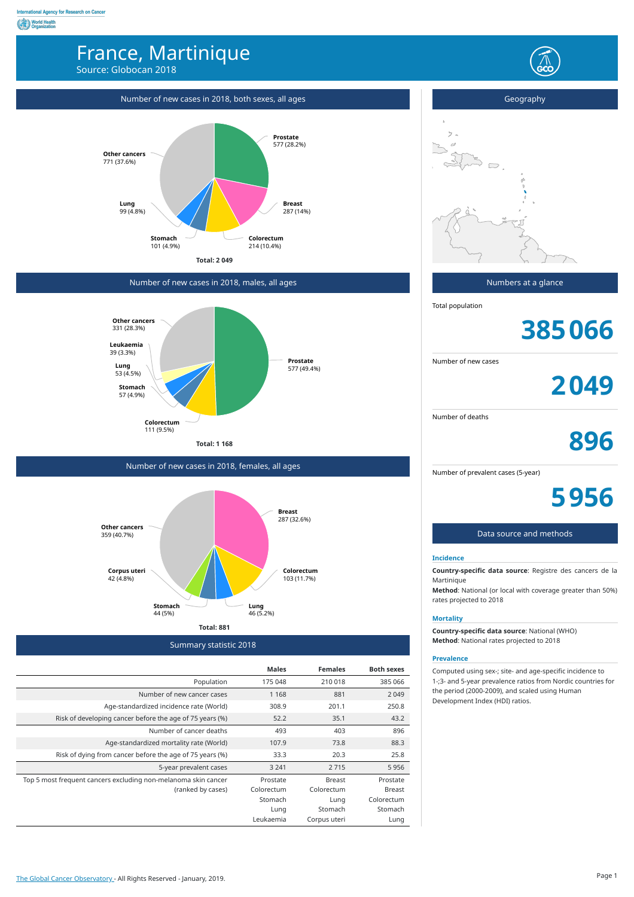## **World Health**<br> **Organization** France, Martinique Source: Globocan 2018 Number of new cases in 2018, both sexes, all ages Geography  $\overline{z}$ **Prostate** 577 (28.2%) **Other cancers** 771 (37.6%) **Lung** 99 (4.8%) **Breast** 287 (14%) **Stomach Colorectum** 101 (4.9%) 214 (10.4%) **Total: 2 049** Numbers at a glance Number of new cases in 2018, males, all ages Total population **Other cancers 385066** 331 (28.3%) **Leukaemia** 39 (3.3%) **Prostate** Number of new cases **Lung** 53 (4.5%) 577 (49.4%) **2049 Stomach** 57 (4.9%) Number of deaths **Colorectum** 111 (9.5%) **896 Total: 1 168** Number of new cases in 2018, females, all ages Number of prevalent cases (5-year) **5956 Breast** 287 (32.6%) **Other cancers** Data source and methods 359 (40.7%) **Incidence Country-specific data source**: Registre des cancers de la **Colorectum Corpus uteri** 42 (4.8%) 103 (11.7%) Martinique **Method**: National (or local with coverage greater than 50%) rates projected to 2018 **Stomach Lung** 46 (5.2%) 44 (5%) **Mortality Total: 881 Country-specific data source**: National (WHO) **Method**: National rates projected to 2018 Summary statistic 2018 **Prevalence Males Females Both sexes** Computed using sex-; site- and age-specific incidence to Population 175 048 210 018 385 066 1-;3- and 5-year prevalence ratios from Nordic countries for the period (2000-2009), and scaled using Human Number of new cancer cases 1168 881 2049 Development Index (HDI) ratios. Age-standardized incidence rate (World) 308.9 201.1 250.8 Risk of developing cancer before the age of 75 years (%) 52.2 35.1 43.2 Number of cancer deaths 493 403 896

Age-standardized mortality rate (World) 107.9 73.8 73.8 88.3

5-year prevalent cases 3 241 2 715 5 956

Breast Colorectum Lung Stomach Corpus uteri

Prostate Breast Colorectum Stomach Lung

Prostate Colorectum Stomach Lung Leukaemia

Risk of dying from cancer before the age of 75 years (%) 33.3 20.3 25.8

(ranked by cases)

Top 5 most frequent cancers excluding non-melanoma skin cancer